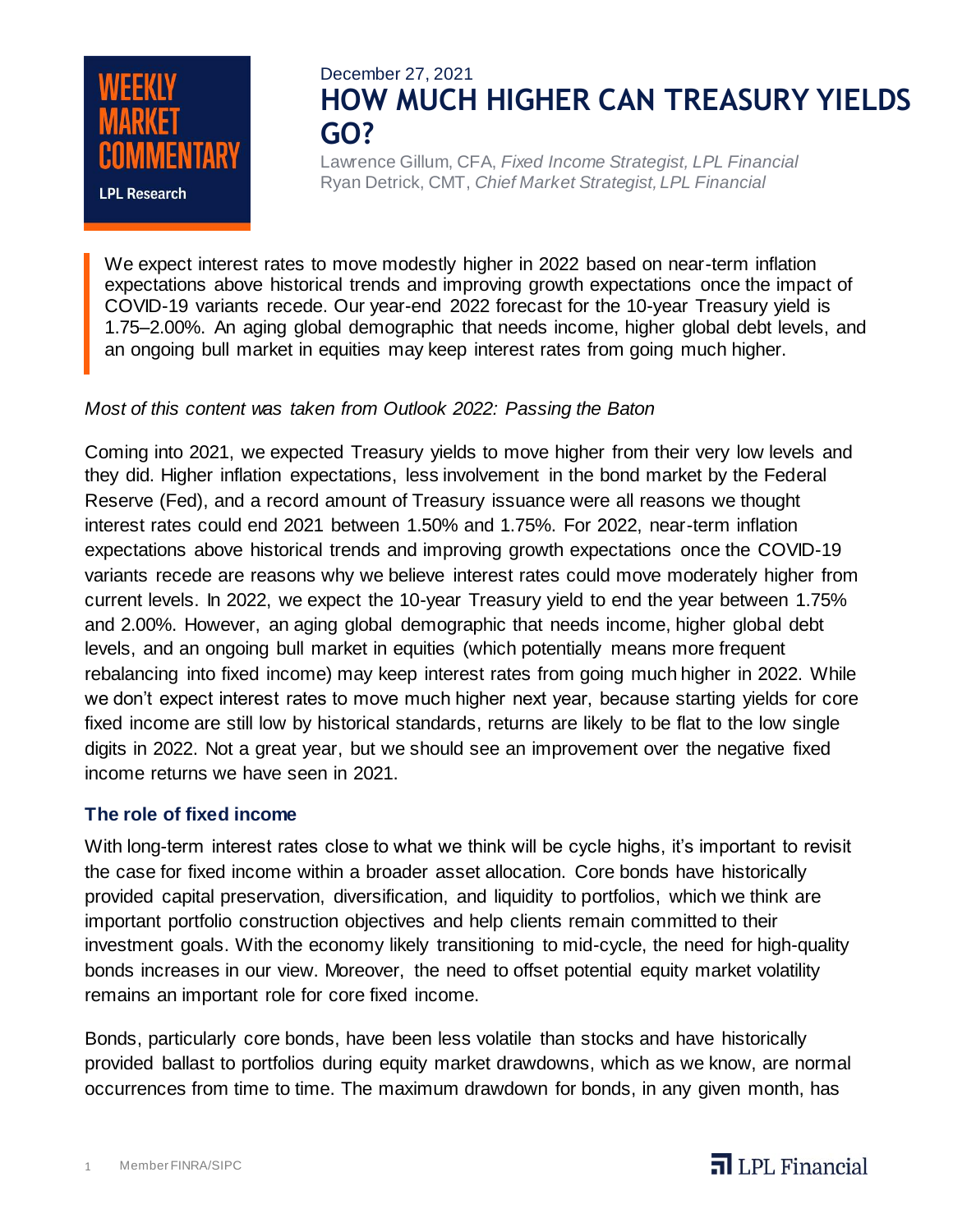

# December 27, 2021 **HOW MUCH HIGHER CAN TREASURY YIELDS GO?**

Lawrence Gillum, CFA, *Fixed Income Strategist, LPL Financial* Ryan Detrick, CMT, *Chief Market Strategist, LPL Financial*

We expect interest rates to move modestly higher in 2022 based on near-term inflation expectations above historical trends and improving growth expectations once the impact of COVID-19 variants recede. Our year-end 2022 forecast for the 10-year Treasury yield is 1.75–2.00%. An aging global demographic that needs income, higher global debt levels, and an ongoing bull market in equities may keep interest rates from going much higher.

### *Most of this content was taken from Outlook 2022: Passing the Baton*

Coming into 2021, we expected Treasury yields to move higher from their very low levels and they did. Higher inflation expectations, less involvement in the bond market by the Federal Reserve (Fed), and a record amount of Treasury issuance were all reasons we thought interest rates could end 2021 between 1.50% and 1.75%. For 2022, near-term inflation expectations above historical trends and improving growth expectations once the COVID-19 variants recede are reasons why we believe interest rates could move moderately higher from current levels. In 2022, we expect the 10-year Treasury yield to end the year between 1.75% and 2.00%. However, an aging global demographic that needs income, higher global debt levels, and an ongoing bull market in equities (which potentially means more frequent rebalancing into fixed income) may keep interest rates from going much higher in 2022. While we don't expect interest rates to move much higher next year, because starting yields for core fixed income are still low by historical standards, returns are likely to be flat to the low single digits in 2022. Not a great year, but we should see an improvement over the negative fixed income returns we have seen in 2021.

### **The role of fixed income**

With long-term interest rates close to what we think will be cycle highs, it's important to revisit the case for fixed income within a broader asset allocation. Core bonds have historically provided capital preservation, diversification, and liquidity to portfolios, which we think are important portfolio construction objectives and help clients remain committed to their investment goals. With the economy likely transitioning to mid-cycle, the need for high-quality bonds increases in our view. Moreover, the need to offset potential equity market volatility remains an important role for core fixed income.

Bonds, particularly core bonds, have been less volatile than stocks and have historically provided ballast to portfolios during equity market drawdowns, which as we know, are normal occurrences from time to time. The maximum drawdown for bonds, in any given month, has

# $\overline{\mathbf{d}}$  LPL Financial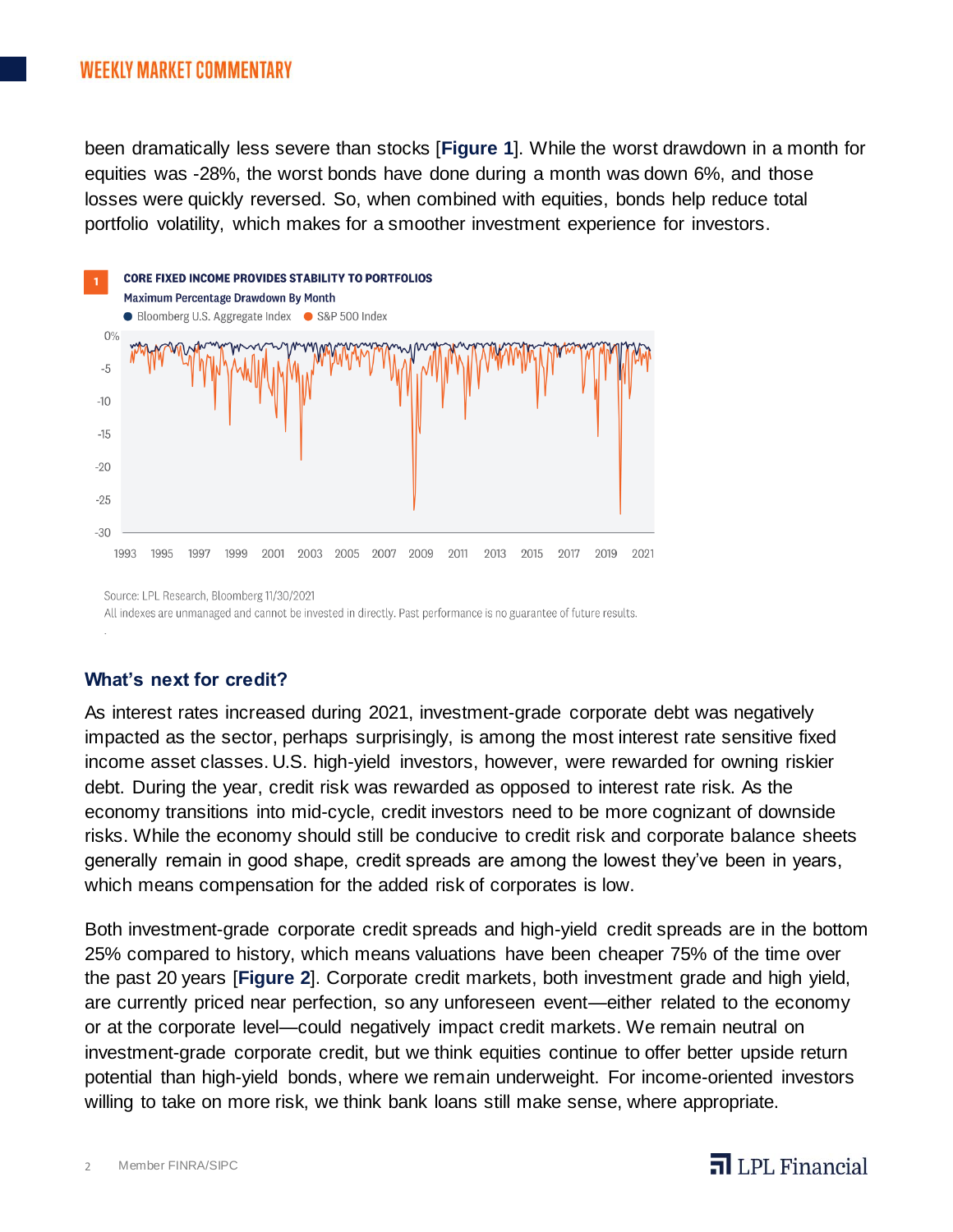been dramatically less severe than stocks [**Figure 1**]. While the worst drawdown in a month for equities was -28%, the worst bonds have done during a month was down 6%, and those losses were quickly reversed. So, when combined with equities, bonds help reduce total portfolio volatility, which makes for a smoother investment experience for investors.



All indexes are unmanaged and cannot be invested in directly. Past performance is no guarantee of future results.

### **What's next for credit?**

As interest rates increased during 2021, investment-grade corporate debt was negatively impacted as the sector, perhaps surprisingly, is among the most interest rate sensitive fixed income asset classes. U.S. high-yield investors, however, were rewarded for owning riskier debt. During the year, credit risk was rewarded as opposed to interest rate risk. As the economy transitions into mid-cycle, credit investors need to be more cognizant of downside risks. While the economy should still be conducive to credit risk and corporate balance sheets generally remain in good shape, credit spreads are among the lowest they've been in years, which means compensation for the added risk of corporates is low.

Both investment-grade corporate credit spreads and high-yield credit spreads are in the bottom 25% compared to history, which means valuations have been cheaper 75% of the time over the past 20 years [**Figure 2**]. Corporate credit markets, both investment grade and high yield, are currently priced near perfection, so any unforeseen event—either related to the economy or at the corporate level—could negatively impact credit markets. We remain neutral on investment-grade corporate credit, but we think equities continue to offer better upside return potential than high-yield bonds, where we remain underweight. For income-oriented investors willing to take on more risk, we think bank loans still make sense, where appropriate.

# $\overline{\mathbf{d}}$  LPL Financial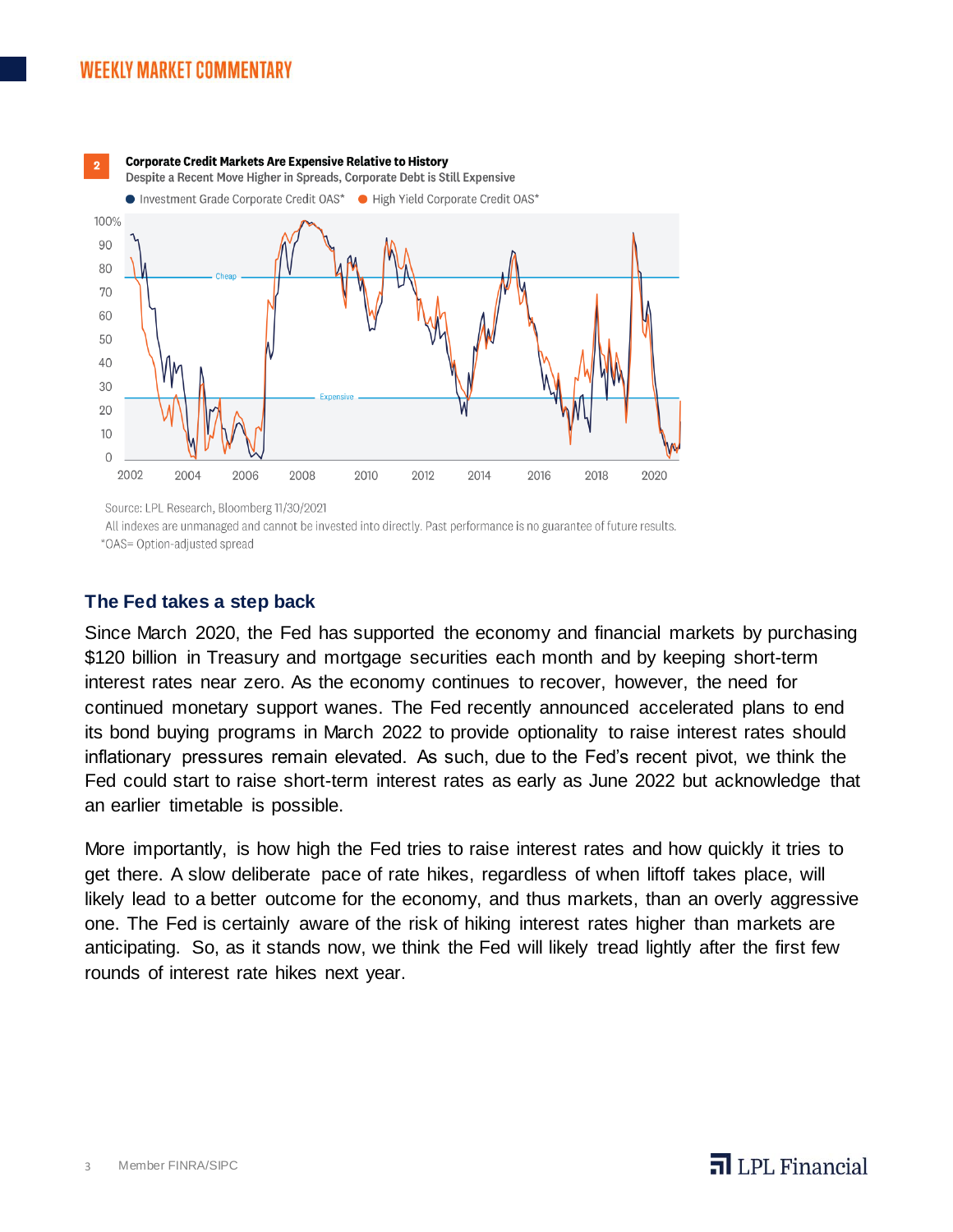

Source: LPL Research, Bloomberg 11/30/2021

All indexes are unmanaged and cannot be invested into directly. Past performance is no guarantee of future results.

\*OAS= Option-adjusted spread

#### **The Fed takes a step back**

Since March 2020, the Fed has supported the economy and financial markets by purchasing \$120 billion in Treasury and mortgage securities each month and by keeping short-term interest rates near zero. As the economy continues to recover, however, the need for continued monetary support wanes. The Fed recently announced accelerated plans to end its bond buying programs in March 2022 to provide optionality to raise interest rates should inflationary pressures remain elevated. As such, due to the Fed's recent pivot, we think the Fed could start to raise short-term interest rates as early as June 2022 but acknowledge that an earlier timetable is possible.

More importantly, is how high the Fed tries to raise interest rates and how quickly it tries to get there. A slow deliberate pace of rate hikes, regardless of when liftoff takes place, will likely lead to a better outcome for the economy, and thus markets, than an overly aggressive one. The Fed is certainly aware of the risk of hiking interest rates higher than markets are anticipating. So, as it stands now, we think the Fed will likely tread lightly after the first few rounds of interest rate hikes next year.